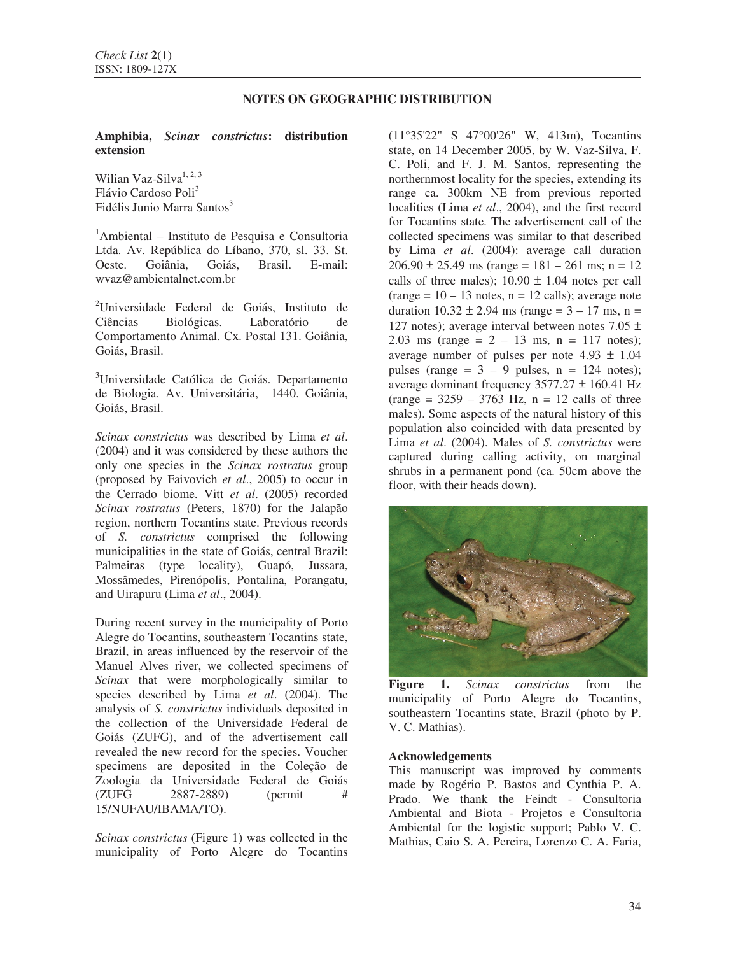## **NOTES ON GEOGRAPHIC DISTRIBUTION**

**Amphibia,** *Scinax constrictus***: distribution extension** 

Wilian Vaz-Silva $^{1, 2, 3}$ Flávio Cardoso Poli<sup>3</sup> Fidélis Junio Marra Santos<sup>3</sup>

<sup>1</sup>Ambiental – Instituto de Pesquisa e Consultoria Ltda. Av. República do Líbano, 370, sl. 33. St. Oeste. Goiânia, Goiás, Brasil. E-mail: wvaz@ambientalnet.com.br

<sup>2</sup>Universidade Federal de Goiás, Instituto de Ciências Biológicas. Laboratório de Comportamento Animal. Cx. Postal 131. Goiânia, Goiás, Brasil.

<sup>3</sup>Universidade Católica de Goiás. Departamento de Biologia. Av. Universitária, 1440. Goiânia, Goiás, Brasil.

*Scinax constrictus* was described by Lima *et al*. (2004) and it was considered by these authors the only one species in the *Scinax rostratus* group (proposed by Faivovich *et al*., 2005) to occur in the Cerrado biome. Vitt *et al*. (2005) recorded *Scinax rostratus* (Peters, 1870) for the Jalapão region, northern Tocantins state. Previous records of *S. constrictus* comprised the following municipalities in the state of Goiás, central Brazil: Palmeiras (type locality), Guapó, Jussara, Mossâmedes, Pirenópolis, Pontalina, Porangatu, and Uirapuru (Lima *et al*., 2004).

During recent survey in the municipality of Porto Alegre do Tocantins, southeastern Tocantins state, Brazil, in areas influenced by the reservoir of the Manuel Alves river, we collected specimens of *Scinax* that were morphologically similar to species described by Lima *et al*. (2004). The analysis of *S. constrictus* individuals deposited in the collection of the Universidade Federal de Goiás (ZUFG), and of the advertisement call revealed the new record for the species. Voucher specimens are deposited in the Coleção de Zoologia da Universidade Federal de Goiás (ZUFG 2887-2889) (permit # 15/NUFAU/IBAMA/TO).

*Scinax constrictus* (Figure 1) was collected in the municipality of Porto Alegre do Tocantins (11°35'22" S 47°00'26" W, 413m), Tocantins state, on 14 December 2005, by W. Vaz-Silva, F. C. Poli, and F. J. M. Santos, representing the northernmost locality for the species, extending its range ca. 300km NE from previous reported localities (Lima *et al*., 2004), and the first record for Tocantins state. The advertisement call of the collected specimens was similar to that described by Lima *et al*. (2004): average call duration  $206.90 \pm 25.49$  ms (range = 181 – 261 ms; n = 12 calls of three males);  $10.90 \pm 1.04$  notes per call  $(range = 10 - 13$  notes,  $n = 12$  calls); average note duration  $10.32 \pm 2.94$  ms (range = 3 – 17 ms, n = 127 notes); average interval between notes 7.05  $\pm$ 2.03 ms (range =  $2 - 13$  ms, n = 117 notes); average number of pulses per note  $4.93 \pm 1.04$ pulses (range  $= 3 - 9$  pulses,  $n = 124$  notes); average dominant frequency  $3577.27 \pm 160.41$  Hz  $(range = 3259 - 3763 Hz, n = 12 calls of three$ males). Some aspects of the natural history of this population also coincided with data presented by Lima *et al*. (2004). Males of *S. constrictus* were captured during calling activity, on marginal shrubs in a permanent pond (ca. 50cm above the floor, with their heads down).



**Figure 1.** *Scinax constrictus* from the municipality of Porto Alegre do Tocantins, southeastern Tocantins state, Brazil (photo by P. V. C. Mathias).

## **Acknowledgements**

This manuscript was improved by comments made by Rogério P. Bastos and Cynthia P. A. Prado. We thank the Feindt - Consultoria Ambiental and Biota - Projetos e Consultoria Ambiental for the logistic support; Pablo V. C. Mathias, Caio S. A. Pereira, Lorenzo C. A. Faria,